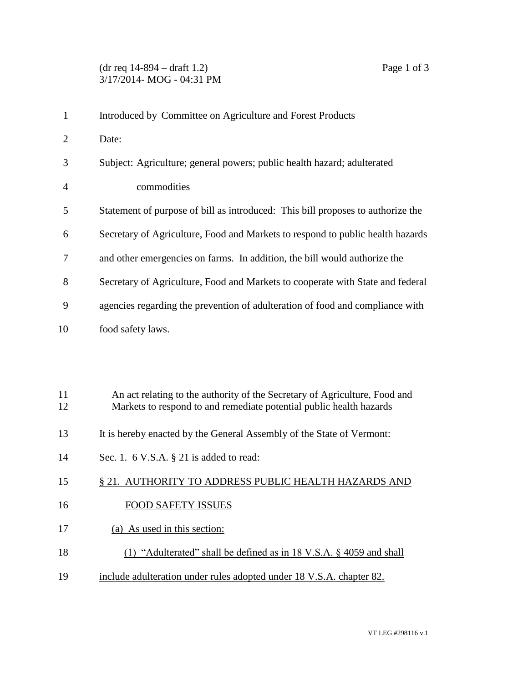## (dr req 14-894 – draft 1.2) Page 1 of 3 3/17/2014- MOG - 04:31 PM

| $\mathbf{1}$   | Introduced by Committee on Agriculture and Forest Products                                                                                        |
|----------------|---------------------------------------------------------------------------------------------------------------------------------------------------|
| $\overline{2}$ | Date:                                                                                                                                             |
| 3              | Subject: Agriculture; general powers; public health hazard; adulterated                                                                           |
| 4              | commodities                                                                                                                                       |
| 5              | Statement of purpose of bill as introduced: This bill proposes to authorize the                                                                   |
| 6              | Secretary of Agriculture, Food and Markets to respond to public health hazards                                                                    |
| 7              | and other emergencies on farms. In addition, the bill would authorize the                                                                         |
| 8              | Secretary of Agriculture, Food and Markets to cooperate with State and federal                                                                    |
| 9              | agencies regarding the prevention of adulteration of food and compliance with                                                                     |
| 10             | food safety laws.                                                                                                                                 |
|                |                                                                                                                                                   |
|                |                                                                                                                                                   |
| 11<br>12       | An act relating to the authority of the Secretary of Agriculture, Food and<br>Markets to respond to and remediate potential public health hazards |
|                |                                                                                                                                                   |
| 13             | It is hereby enacted by the General Assembly of the State of Vermont:                                                                             |
| 14             | Sec. 1. $6$ V.S.A. $\S$ 21 is added to read:                                                                                                      |
| 15             | § 21. AUTHORITY TO ADDRESS PUBLIC HEALTH HAZARDS AND                                                                                              |
| 16             | <b>FOOD SAFETY ISSUES</b>                                                                                                                         |

- 17 (a) As used in this section:
- 18 (1) "Adulterated" shall be defined as in 18 V.S.A. § 4059 and shall
- 19 include adulteration under rules adopted under 18 V.S.A. chapter 82.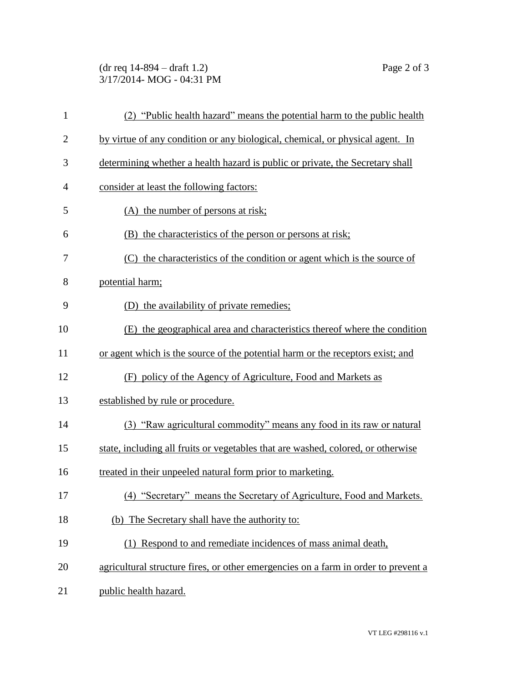## (dr req 14-894 – draft 1.2) Page 2 of 3 3/17/2014- MOG - 04:31 PM

| $\mathbf{1}$   | (2) "Public health hazard" means the potential harm to the public health           |
|----------------|------------------------------------------------------------------------------------|
| $\overline{2}$ | by virtue of any condition or any biological, chemical, or physical agent. In      |
| 3              | determining whether a health hazard is public or private, the Secretary shall      |
| $\overline{4}$ | consider at least the following factors:                                           |
| 5              | (A) the number of persons at risk;                                                 |
| 6              | (B) the characteristics of the person or persons at risk;                          |
| 7              | (C) the characteristics of the condition or agent which is the source of           |
| 8              | potential harm;                                                                    |
| 9              | (D) the availability of private remedies;                                          |
| 10             | (E) the geographical area and characteristics thereof where the condition          |
| 11             | or agent which is the source of the potential harm or the receptors exist; and     |
| 12             | (F) policy of the Agency of Agriculture, Food and Markets as                       |
| 13             | established by rule or procedure.                                                  |
| 14             | (3) "Raw agricultural commodity" means any food in its raw or natural              |
| 15             | state, including all fruits or vegetables that are washed, colored, or otherwise   |
| 16             | treated in their unpeeled natural form prior to marketing.                         |
| 17             | (4) "Secretary" means the Secretary of Agriculture, Food and Markets.              |
| 18             | (b) The Secretary shall have the authority to:                                     |
| 19             | (1) Respond to and remediate incidences of mass animal death,                      |
| 20             | agricultural structure fires, or other emergencies on a farm in order to prevent a |
| 21             | public health hazard.                                                              |